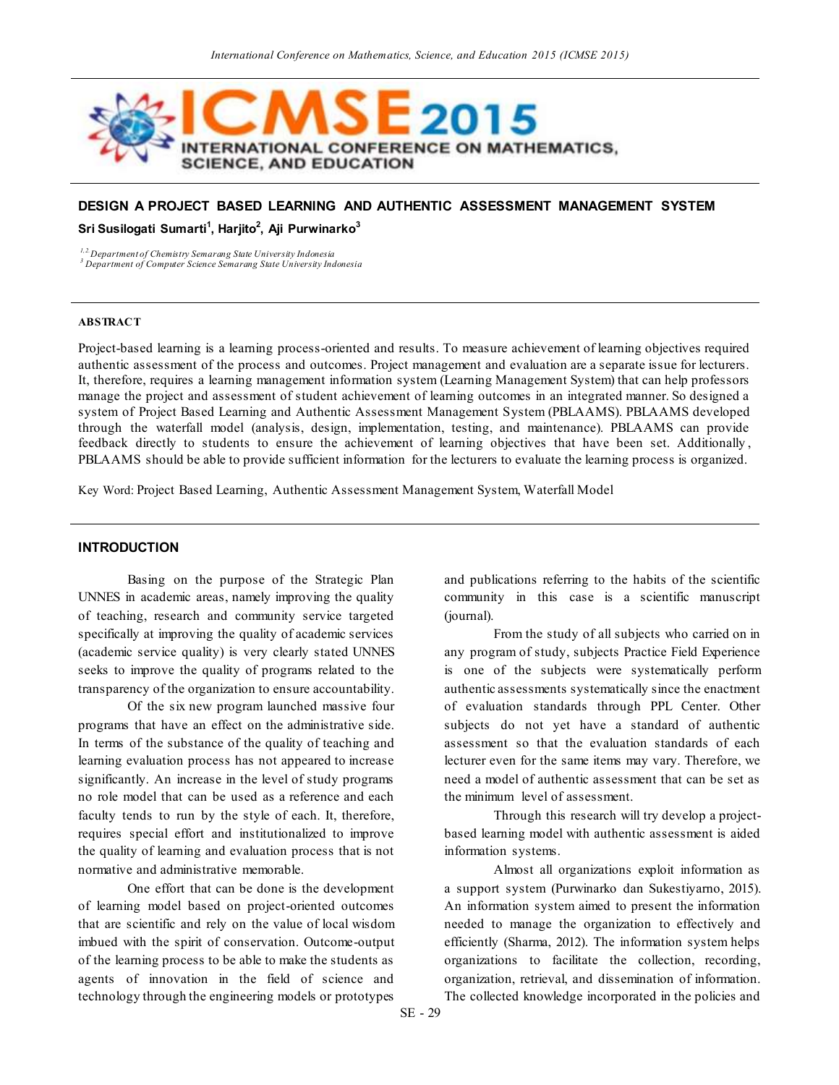

# **DESIGN A PROJECT BASED LEARNING AND AUTHENTIC ASSESSMENT MANAGEMENT SYSTEM Sri Susilogati Sumarti<sup>1</sup> , Harjito<sup>2</sup> , Aji Purwinarko<sup>3</sup>**

*1,2.Department of Chemistry Semarang State University Indonesia*

*<sup>3</sup> Department of Computer Science Semarang State University Indonesia*

#### **ABSTRACT**

Project-based learning is a learning process-oriented and results. To measure achievement of learning objectives required authentic assessment of the process and outcomes. Project management and evaluation are a separate issue for lecturers. It, therefore, requires a learning management information system (Learning Management System) that can help professors manage the project and assessment of student achievement of learning outcomes in an integrated manner. So designed a system of Project Based Learning and Authentic Assessment Management System (PBLAAMS). PBLAAMS developed through the waterfall model (analysis, design, implementation, testing, and maintenance). PBLAAMS can provide feedback directly to students to ensure the achievement of learning objectives that have been set. Additionally , PBLAAMS should be able to provide sufficient information for the lecturers to evaluate the learning process is organized.

Key Word: Project Based Learning, Authentic Assessment Management System, Waterfall Model

### **INTRODUCTION**

Basing on the purpose of the Strategic Plan UNNES in academic areas, namely improving the quality of teaching, research and community service targeted specifically at improving the quality of academic services (academic service quality) is very clearly stated UNNES seeks to improve the quality of programs related to the transparency of the organization to ensure accountability.

Of the six new program launched massive four programs that have an effect on the administrative side. In terms of the substance of the quality of teaching and learning evaluation process has not appeared to increase significantly. An increase in the level of study programs no role model that can be used as a reference and each faculty tends to run by the style of each. It, therefore, requires special effort and institutionalized to improve the quality of learning and evaluation process that is not normative and administrative memorable.

One effort that can be done is the development of learning model based on project-oriented outcomes that are scientific and rely on the value of local wisdom imbued with the spirit of conservation. Outcome-output of the learning process to be able to make the students as agents of innovation in the field of science and technology through the engineering models or prototypes

and publications referring to the habits of the scientific community in this case is a scientific manuscript (journal).

From the study of all subjects who carried on in any program of study, subjects Practice Field Experience is one of the subjects were systematically perform authentic assessments systematically since the enactment of evaluation standards through PPL Center. Other subjects do not yet have a standard of authentic assessment so that the evaluation standards of each lecturer even for the same items may vary. Therefore, we need a model of authentic assessment that can be set as the minimum level of assessment.

Through this research will try develop a projectbased learning model with authentic assessment is aided information systems.

Almost all organizations exploit information as a support system (Purwinarko dan Sukestiyarno, 2015). An information system aimed to present the information needed to manage the organization to effectively and efficiently (Sharma, 2012). The information system helps organizations to facilitate the collection, recording, organization, retrieval, and dissemination of information. The collected knowledge incorporated in the policies and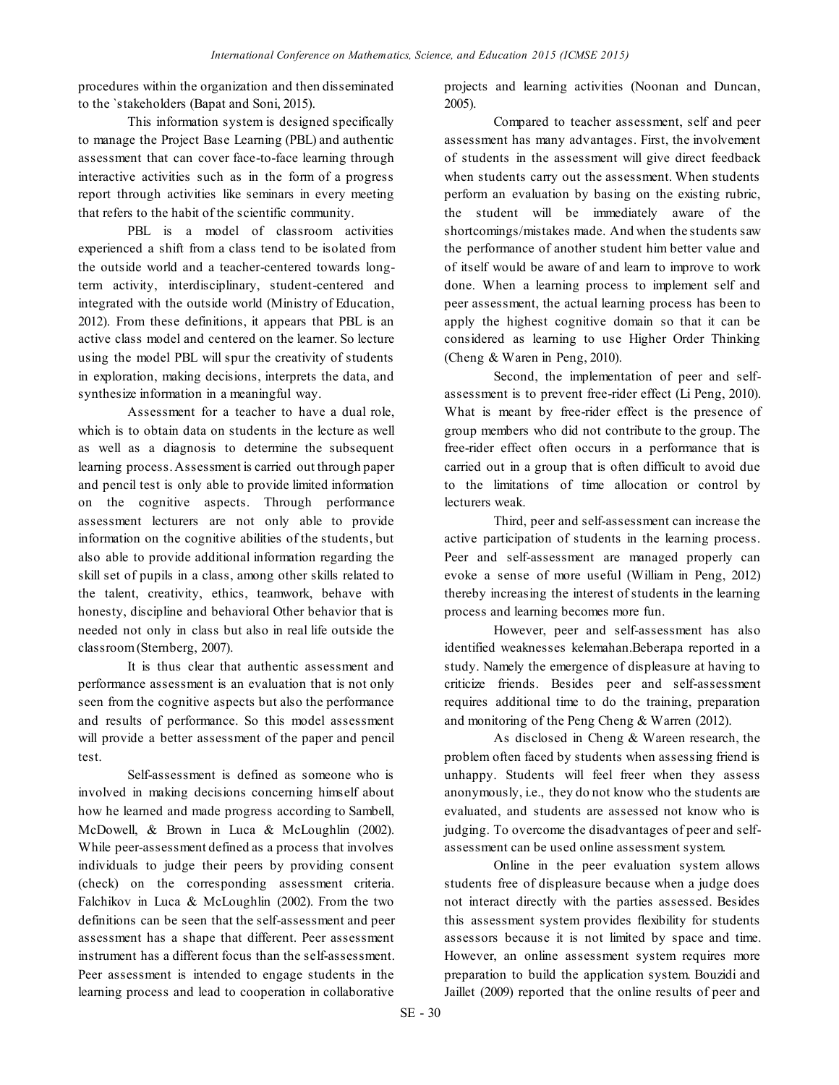procedures within the organization and then disseminated to the `stakeholders (Bapat and Soni, 2015).

This information system is designed specifically to manage the Project Base Learning (PBL) and authentic assessment that can cover face-to-face learning through interactive activities such as in the form of a progress report through activities like seminars in every meeting that refers to the habit of the scientific community.

PBL is a model of classroom activities experienced a shift from a class tend to be isolated from the outside world and a teacher-centered towards longterm activity, interdisciplinary, student-centered and integrated with the outside world (Ministry of Education, 2012). From these definitions, it appears that PBL is an active class model and centered on the learner. So lecture using the model PBL will spur the creativity of students in exploration, making decisions, interprets the data, and synthesize information in a meaningful way.

Assessment for a teacher to have a dual role, which is to obtain data on students in the lecture as well as well as a diagnosis to determine the subsequent learning process. Assessment is carried out through paper and pencil test is only able to provide limited information on the cognitive aspects. Through performance assessment lecturers are not only able to provide information on the cognitive abilities of the students, but also able to provide additional information regarding the skill set of pupils in a class, among other skills related to the talent, creativity, ethics, teamwork, behave with honesty, discipline and behavioral Other behavior that is needed not only in class but also in real life outside the classroom (Sternberg, 2007).

It is thus clear that authentic assessment and performance assessment is an evaluation that is not only seen from the cognitive aspects but also the performance and results of performance. So this model assessment will provide a better assessment of the paper and pencil test.

Self-assessment is defined as someone who is involved in making decisions concerning himself about how he learned and made progress according to Sambell, McDowell, & Brown in Luca & McLoughlin (2002). While peer-assessment defined as a process that involves individuals to judge their peers by providing consent (check) on the corresponding assessment criteria. Falchikov in Luca & McLoughlin (2002). From the two definitions can be seen that the self-assessment and peer assessment has a shape that different. Peer assessment instrument has a different focus than the self-assessment. Peer assessment is intended to engage students in the learning process and lead to cooperation in collaborative

projects and learning activities (Noonan and Duncan, 2005).

Compared to teacher assessment, self and peer assessment has many advantages. First, the involvement of students in the assessment will give direct feedback when students carry out the assessment. When students perform an evaluation by basing on the existing rubric, the student will be immediately aware of the shortcomings/mistakes made. And when the students saw the performance of another student him better value and of itself would be aware of and learn to improve to work done. When a learning process to implement self and peer assessment, the actual learning process has been to apply the highest cognitive domain so that it can be considered as learning to use Higher Order Thinking (Cheng & Waren in Peng, 2010).

Second, the implementation of peer and selfassessment is to prevent free-rider effect (Li Peng, 2010). What is meant by free-rider effect is the presence of group members who did not contribute to the group. The free-rider effect often occurs in a performance that is carried out in a group that is often difficult to avoid due to the limitations of time allocation or control by lecturers weak.

Third, peer and self-assessment can increase the active participation of students in the learning process. Peer and self-assessment are managed properly can evoke a sense of more useful (William in Peng, 2012) thereby increasing the interest of students in the learning process and learning becomes more fun.

However, peer and self-assessment has also identified weaknesses kelemahan.Beberapa reported in a study. Namely the emergence of displeasure at having to criticize friends. Besides peer and self-assessment requires additional time to do the training, preparation and monitoring of the Peng Cheng & Warren (2012).

As disclosed in Cheng & Wareen research, the problem often faced by students when assessing friend is unhappy. Students will feel freer when they assess anonymously, i.e., they do not know who the students are evaluated, and students are assessed not know who is judging. To overcome the disadvantages of peer and selfassessment can be used online assessment system.

Online in the peer evaluation system allows students free of displeasure because when a judge does not interact directly with the parties assessed. Besides this assessment system provides flexibility for students assessors because it is not limited by space and time. However, an online assessment system requires more preparation to build the application system. Bouzidi and Jaillet (2009) reported that the online results of peer and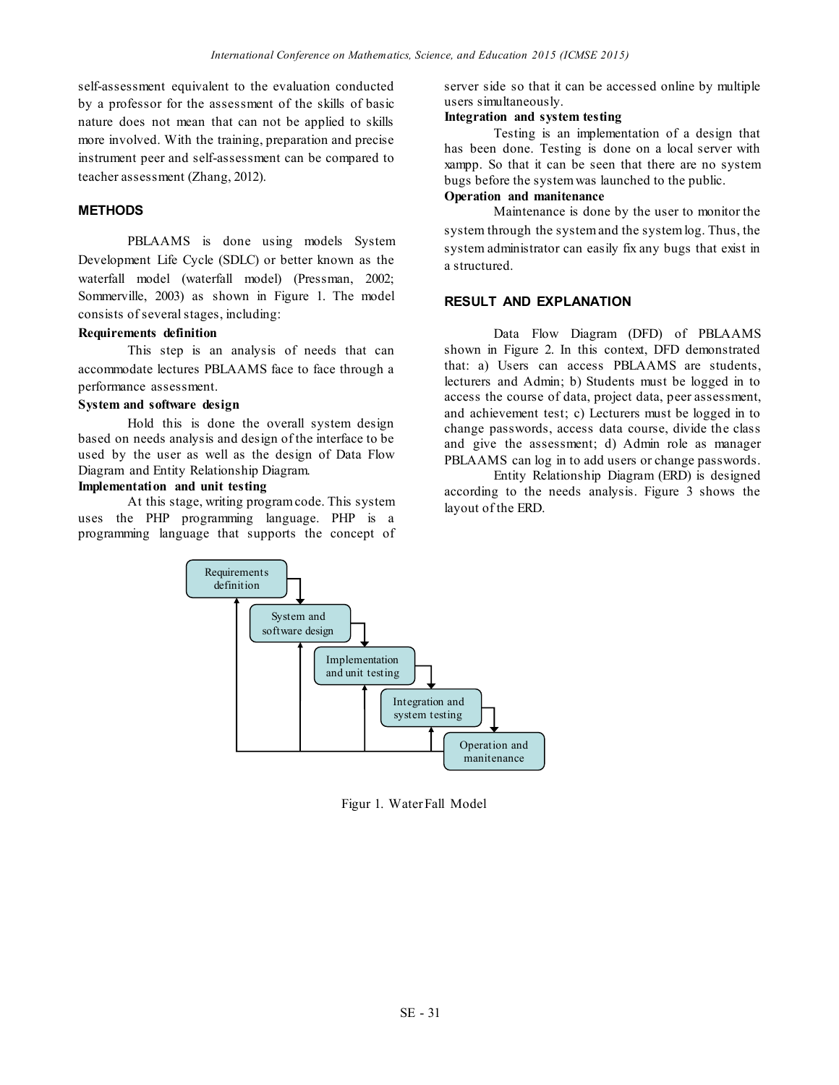self-assessment equivalent to the evaluation conducted by a professor for the assessment of the skills of basic nature does not mean that can not be applied to skills more involved. With the training, preparation and precise instrument peer and self-assessment can be compared to teacher assessment (Zhang, 2012).

### **METHODS**

PBLAAMS is done using models System Development Life Cycle (SDLC) or better known as the waterfall model (waterfall model) (Pressman, 2002; Sommerville, 2003) as shown in Figure 1. The model consists of several stages, including:

## **Requirements definition**

This step is an analysis of needs that can accommodate lectures PBLAAMS face to face through a performance assessment.

### **System and software design**

Hold this is done the overall system design based on needs analysis and design of the interface to be used by the user as well as the design of Data Flow Diagram and Entity Relationship Diagram.

# **Implementation and unit testing**

At this stage, writing program code. This system uses the PHP programming language. PHP is a programming language that supports the concept of server side so that it can be accessed online by multiple users simultaneously.

### **Integration and system testing**

Testing is an implementation of a design that has been done. Testing is done on a local server with xampp. So that it can be seen that there are no system bugs before the system was launched to the public.

# **Operation and manitenance**

Maintenance is done by the user to monitor the system through the system and the system log. Thus, the system administrator can easily fix any bugs that exist in a structured.

## **RESULT AND EXPLANATION**

Data Flow Diagram (DFD) of PBLAAMS shown in Figure 2. In this context, DFD demonstrated that: a) Users can access PBLAAMS are students, lecturers and Admin; b) Students must be logged in to access the course of data, project data, peer assessment, and achievement test; c) Lecturers must be logged in to change passwords, access data course, divide the class and give the assessment; d) Admin role as manager PBLAAMS can log in to add users or change passwords.

Entity Relationship Diagram (ERD) is designed according to the needs analysis. Figure 3 shows the layout of the ERD.



Figur 1. Water Fall Model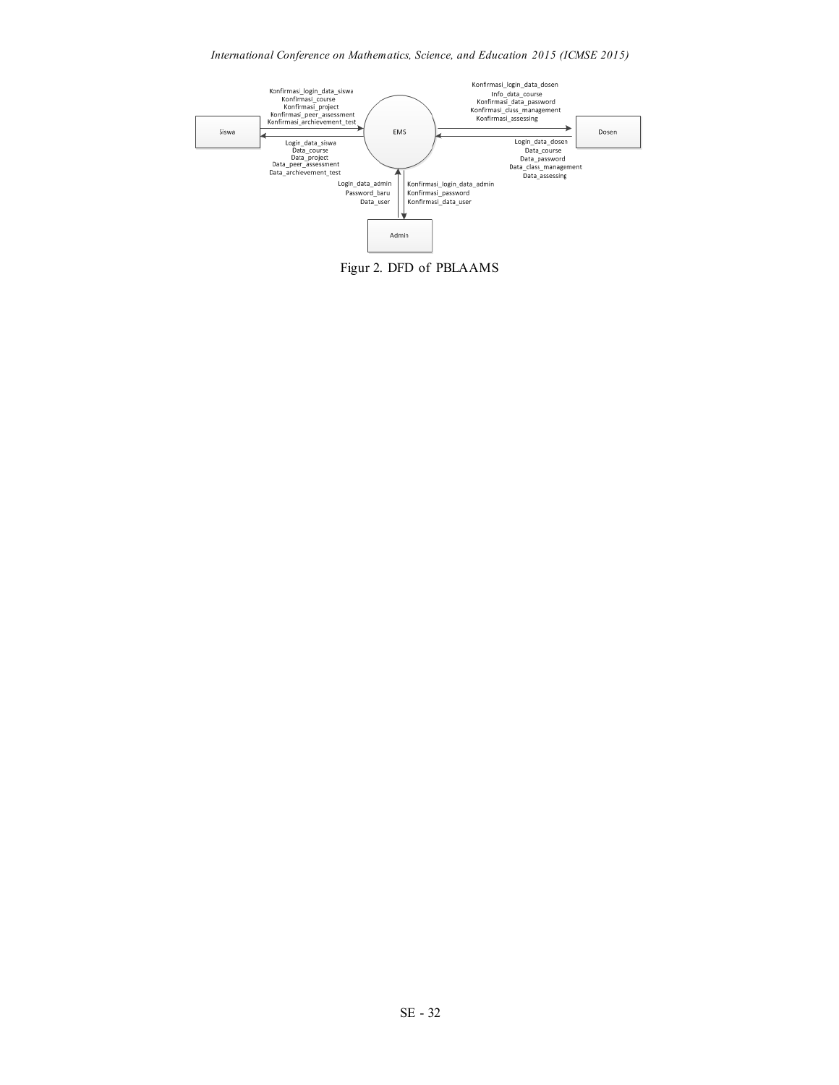## *International Conference on Mathematics, Science, and Education 2015 (ICMSE 2015)*

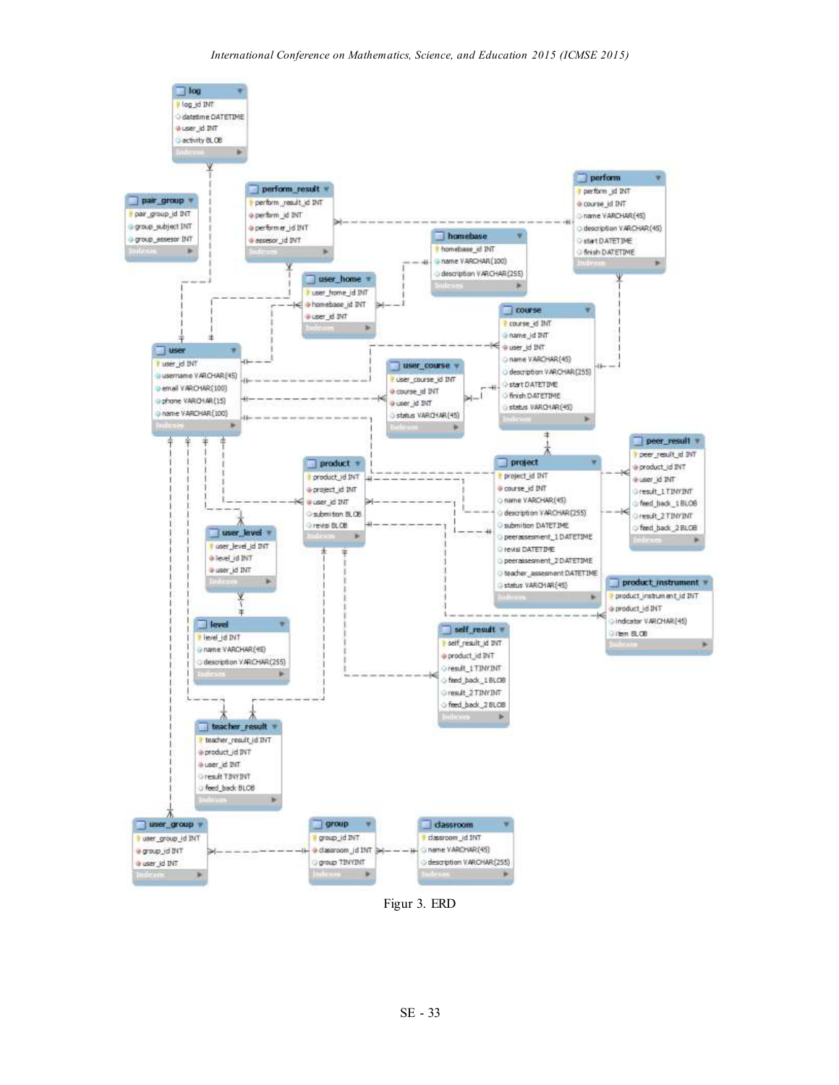

Figur 3. ERD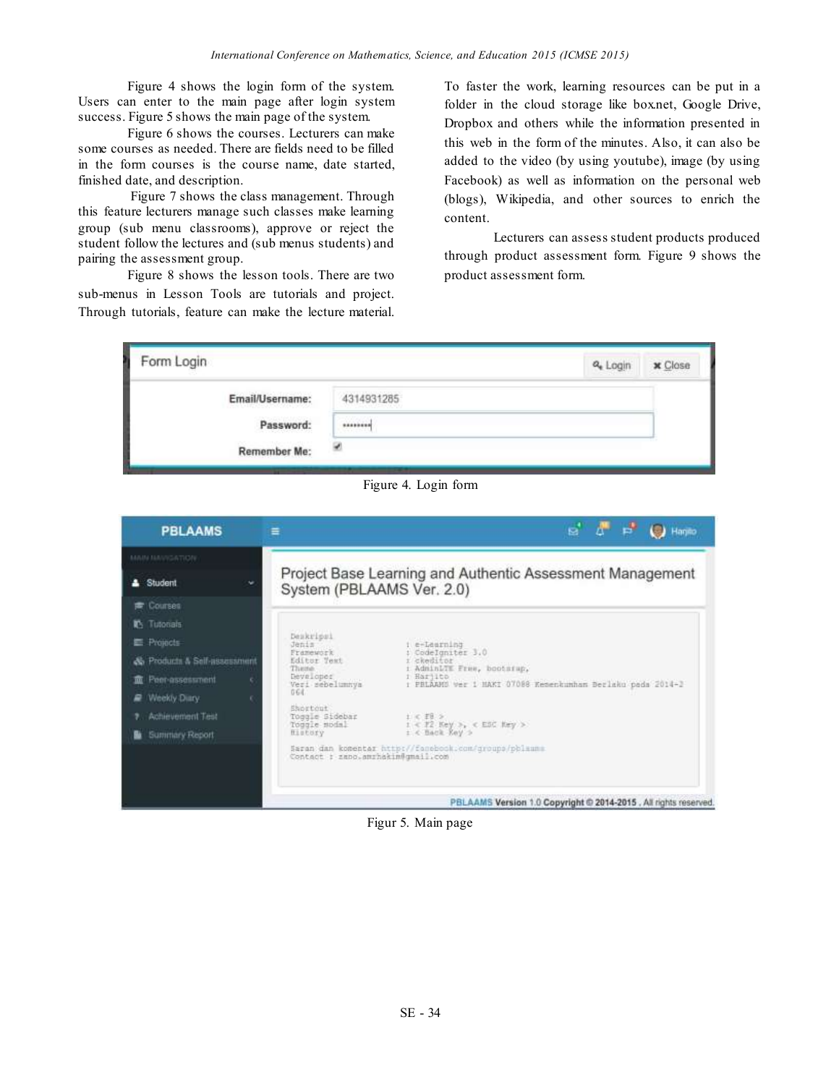Figure 4 shows the login form of the system. Users can enter to the main page after login system success. Figure 5 shows the main page of the system.

Figure 6 shows the courses. Lecturers can make some courses as needed. There are fields need to be filled in the form courses is the course name, date started, finished date, and description.

Figure 7 shows the class management. Through this feature lecturers manage such classes make learning group (sub menu classrooms), approve or reject the student follow the lectures and (sub menus students) and pairing the assessment group.

Figure 8 shows the lesson tools. There are two sub-menus in Lesson Tools are tutorials and project. Through tutorials, feature can make the lecture material.

To faster the work, learning resources can be put in a folder in the cloud storage like box.net, Google Drive, Dropbox and others while the information presented in this web in the form of the minutes. Also, it can also be added to the video (by using youtube), image (by using Facebook) as well as information on the personal web (blogs), Wikipedia, and other sources to enrich the content.

Lecturers can assess student products produced through product assessment form. Figure 9 shows the product assessment form.



Figure 4. Login form

| <b>PBLAAMS</b>               | ≡                                          | e<br>Hanillo                                                            |
|------------------------------|--------------------------------------------|-------------------------------------------------------------------------|
| MAIN MAVIGATION:             |                                            |                                                                         |
| Student<br>w                 | System (PBLAAMS Ver. 2.0)                  | Project Base Learning and Authentic Assessment Management               |
| Courses                      |                                            |                                                                         |
| Tutotials<br>r.              |                                            |                                                                         |
| Projects                     | Deskripsi<br>Jenis                         | i e-Learning                                                            |
| & Products & Self-assessment | Framework<br>Editor Text<br>There-         | : CodeIgniter 3.0<br>i ckeditor<br>: AdminLTE Free, bootsrup,           |
| Peer-assessment<br>霝         | Developes<br>Veri sebelumnya               | i Harjito<br>: PRIAAHS ver 1 HAKI 07088 Kesenkunhan Berlaks pada 2014-2 |
| Weekly Diary                 | GG4                                        |                                                                         |
| Achievement Test             | Shortout<br>Toggle Sidebar<br>Tougle modal | $t < 10$ >                                                              |
| <b>Summary Report</b>        | History                                    | $1 < 72$ Key >, < ESC Key ><br>$z <$ Back Key >                         |
|                              | Contact : zano.amrhakim@gmail.com          | Saran dan komentar http://fanebook.com/groups/pblaums                   |
|                              |                                            | PBLAAMS Version 1.0 Copyright @ 2014-2015 . All rights reserved         |

Figur 5. Main page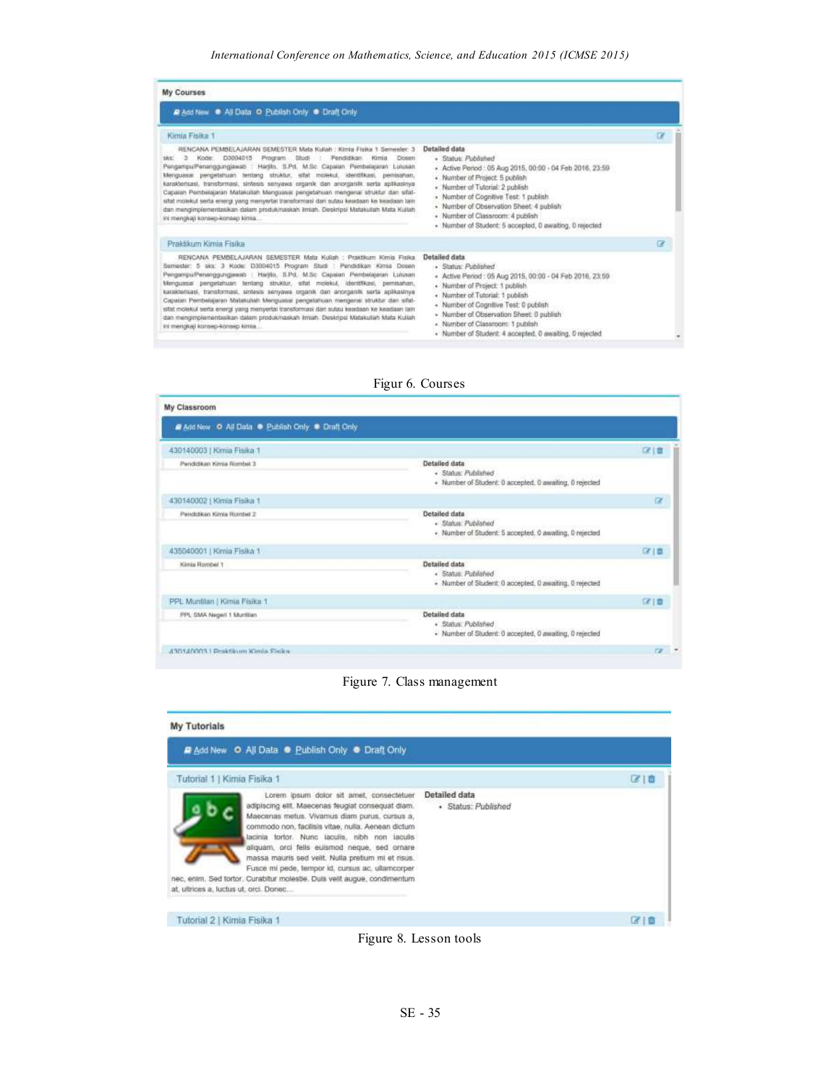### *International Conference on Mathematics, Science, and Education 2015 (ICMSE 2015)*

| <b>My Courses</b>                                                                                                                                                                                                                                                                                                                                                                                                                                                                                                                                                                                                                                                                                                                              |                                                                                                                                                                                                                                                                                                                                                                                                        |   |
|------------------------------------------------------------------------------------------------------------------------------------------------------------------------------------------------------------------------------------------------------------------------------------------------------------------------------------------------------------------------------------------------------------------------------------------------------------------------------------------------------------------------------------------------------------------------------------------------------------------------------------------------------------------------------------------------------------------------------------------------|--------------------------------------------------------------------------------------------------------------------------------------------------------------------------------------------------------------------------------------------------------------------------------------------------------------------------------------------------------------------------------------------------------|---|
| P Add New @ All Data O Publish Only @ Draft Only                                                                                                                                                                                                                                                                                                                                                                                                                                                                                                                                                                                                                                                                                               |                                                                                                                                                                                                                                                                                                                                                                                                        |   |
| Kimia Fisika 1                                                                                                                                                                                                                                                                                                                                                                                                                                                                                                                                                                                                                                                                                                                                 |                                                                                                                                                                                                                                                                                                                                                                                                        | œ |
| RENCANA PEMBELAJARAN SEMESTER Mata Kuliah : Kimia Fistur 1 Sementer, 3<br>Kode: D3004015 Program Studi : Pendidikan Kimia<br>$\mathcal{L}$<br><b>Dosen</b><br>SNS2<br>PengartipulPenanggungjawab / Harilto, S.Pd. M.Sc Capaian Pembelajaran Lulusan<br>Menguasai pengelahuan tentang struktur, sifat molekul, identifikasi, pentsahan,<br>karakterisasi, transformasi, sintesis senyawa organik dan anorganik serta apikasima<br>Capatian Pembelajaran Matakullah Menguasai pengetahuan mengenai struktur dan sifat-<br>sitet molekul serta energt yang menyertai transformasi dari sutau keadaan ke keadaan lain.<br>dan mengimplementasikan dalam produkmaskan ilmiah. Deskripsi Matakuliah Mata Kullah<br>ini mengkaji konsep-konsep kimia. | Detailed data<br>- Status: Published<br>- Active Period: 05 Aug 2015, 00:00 - 04 Feb 2016, 23:59<br>· Number of Project: 5 publish<br>· Number of Tutorial: 2 publish<br>· Number of Cognitive Test: 1 publish<br>· Number of Observation Sheet: 4 publish<br>- Number of Classroom: 4 publish<br>· Number of Student: 5 accepted, 0 awaiting, 0 rejected                                              |   |
| Praktikum Kimia Fisika                                                                                                                                                                                                                                                                                                                                                                                                                                                                                                                                                                                                                                                                                                                         |                                                                                                                                                                                                                                                                                                                                                                                                        | e |
| RENCANA PEMBELAJARAN SEMESTER Mata Kulah : Praktikum Kimia Fisika.<br>Semester: 5 sks: 3 Kode: D3004015 Program Studi : Pendidikan Kimia Dosen<br>Pergempu/Penanggungawab   Hartis, S.Pd, M.Sc Capson Pembelajaran Lulusan<br>Menguasai pengelahuan tentang struktur, sifat molekul, identifikasi, pemisahan,<br>karakterisasi, transformasi, sintesis senyawa organik dari anorganik serta aplikasinya<br>Capatan Pembelajaran Malakuliah Menguasai pengelahuan mengenai struktur dan sifat-<br>silat molekul serta energi yang menyertai transformasi dari sutau keodaan ke keadaan tait:<br>dan mengmplementasikan dalam produkinaskan imiah. Deskripsi Matskuliah Mata Kullah.<br>ini mengkaji konsep-konsep kimia                         | Detailed data<br>· Status: Published<br>- Active Period: 05 Aug 2015, 00:00 - 04 Feb 2016, 23:59<br>· Number of Project: 1 publish.<br>· Number of Tutorial: 1 publish<br>- Number of Cognitive Test: 0 publish<br>· Number of Observation Sheet: 0 publish<br>· Number of Classroom: 1 publish<br>· Number of Student: 4 accepted, 0 awaiting, 0 rejected<br>www.com/www.com/com/com/com/com/www.com/ |   |

### Figur 6. Courses

| Add New O All Data . Publish Only . Draft Only |                                                                                                 |             |
|------------------------------------------------|-------------------------------------------------------------------------------------------------|-------------|
| 430140003   Kimia Fisika 1                     |                                                                                                 | 区域          |
| Pendidikan Kimia Rombil 3                      | Detailed data<br>- Status: Published<br>· Number of Student: 0 accepted, 0 awaiting, 0 rejected |             |
| 430140002   Kimia Fisika 1                     |                                                                                                 | <b>IZ</b>   |
| Pendidikan Kima Rombel 2                       | Detailed data<br>· Status: Published<br>. Number of Student: 5 accepted, 0 awaiting, 0 rejected |             |
| 435040001   Kimia Fisika 1                     |                                                                                                 | 区道          |
| Kimia Rombel 1                                 | Detailed data<br>· Status: Published<br>- Number of Student: 0 accepted, 0 awaiting, 0 rejected |             |
| PPL Muntilan   Kimia Fisika 1                  |                                                                                                 | 区顶          |
| PPL SMA Negeri 1 Muntilan                      | Detailed data<br>· Status: Published<br>- Number of Student: 0 accepted, 0 awaiting, 0 rejected |             |
| 430140003 LPoktikum Kimia Fisika               |                                                                                                 | <b>12 *</b> |



### **My Tutorials** Add New O All Data @ Publish Only @ Draft Only Tutorial 1 | Kimia Fisika 1 区面 Lorem ipsum dolor sit amet, consectetuer Detailed data adipiscing ellt. Maecenas feugiat consequat diam. · Status: Published Maecenas metus. Vivamus diam purus, cursus a, neuron do non, facilisis vitae, rulla. Aenean dictum<br>tacinia fortor. Nunc laculis, mbh non iaculis<br>aliquam, orci felis euismod neque, sed ornare<br>massa mauris sed veilt. Nulla pretium mi et risus. Fusce mi pede, tempor id, cursus ac, ultamcorper nec, enim. Sed tortor. Curabitur molestie. Duis vellt augue, condimentum at, ultrices a, luctus ut, orci. Donec. Tutorial 2 | Kimia Fisika 1 宿值

Figure 8. Lesson tools